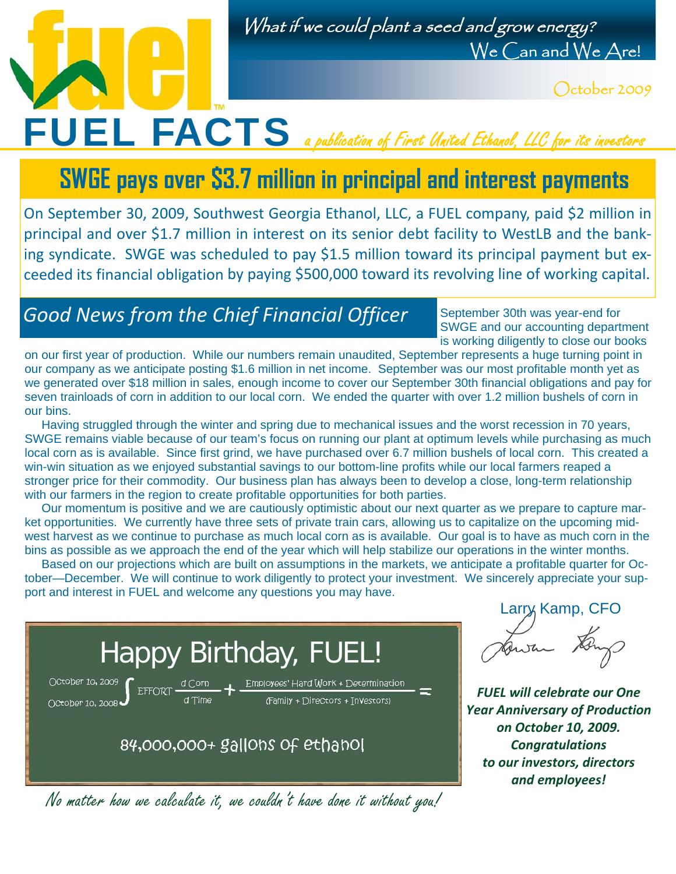#### What if we could plant a seed and grow energy? We Can and We Are!

October 2009

# FUEL FACTS a publication of First United Ethanol, LLC for its investors

### **SWGE pays over \$3.7 million in principal and interest payments**

On September 30, 2009, Southwest Georgia Ethanol, LLC, a FUEL company, paid \$2 million in principal and over \$1.7 million in interest on its senior debt facility to WestLB and the banking syndicate. SWGE was scheduled to pay \$1.5 million toward its principal payment but exceeded its financial obligation by paying \$500,000 toward its revolving line of working capital.

#### *Good News from the Chief Financial Officer*

September 30th was year-end for SWGE and our accounting department is working diligently to close our books

on our first year of production. While our numbers remain unaudited, September represents a huge turning point in our company as we anticipate posting \$1.6 million in net income. September was our most profitable month yet as we generated over \$18 million in sales, enough income to cover our September 30th financial obligations and pay for seven trainloads of corn in addition to our local corn. We ended the quarter with over 1.2 million bushels of corn in our bins.

 Having struggled through the winter and spring due to mechanical issues and the worst recession in 70 years, SWGE remains viable because of our team's focus on running our plant at optimum levels while purchasing as much local corn as is available. Since first grind, we have purchased over 6.7 million bushels of local corn. This created a win-win situation as we enjoyed substantial savings to our bottom-line profits while our local farmers reaped a stronger price for their commodity. Our business plan has always been to develop a close, long-term relationship with our farmers in the region to create profitable opportunities for both parties.

 Our momentum is positive and we are cautiously optimistic about our next quarter as we prepare to capture market opportunities. We currently have three sets of private train cars, allowing us to capitalize on the upcoming midwest harvest as we continue to purchase as much local corn as is available. Our goal is to have as much corn in the bins as possible as we approach the end of the year which will help stabilize our operations in the winter months.

 Based on our projections which are built on assumptions in the markets, we anticipate a profitable quarter for October—December. We will continue to work diligently to protect your investment. We sincerely appreciate your support and interest in FUEL and welcome any questions you may have.



No matter how we calculate it, we couldn't have done it without you!

Larry Kamp, CFO

*FUEL will celebrate our One Year Anniversary of Production on October 10, 2009. Congratulations to our investors, directors and employees!*